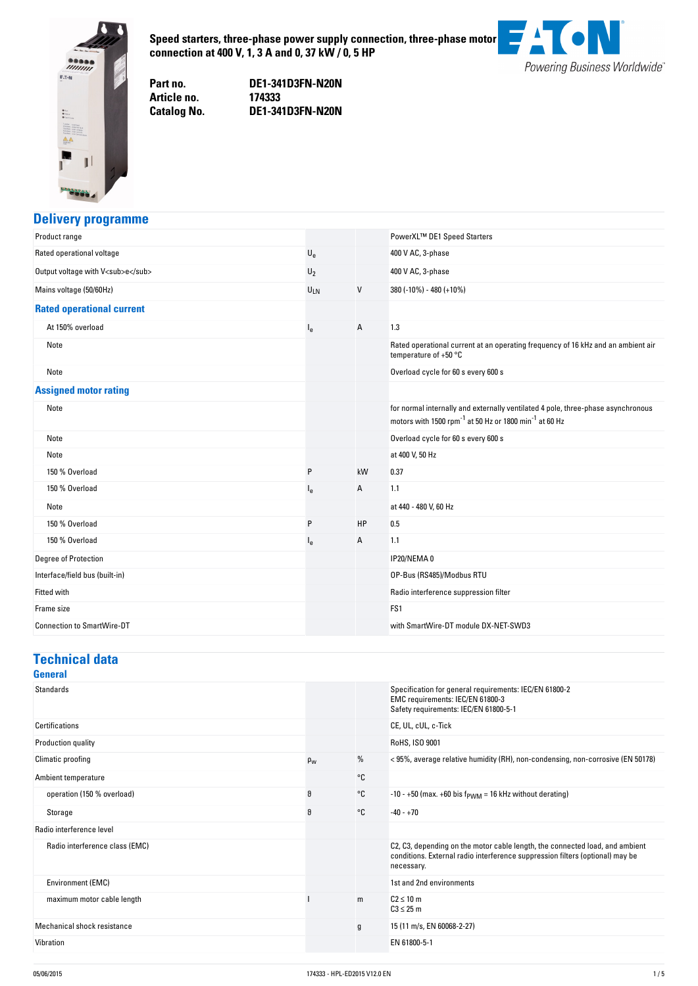<span id="page-0-0"></span>

**Speed-starters,-three-phase-power-supply-connection,-three-phase-motor connection-at-400-V,-1,-3-A-and-0,-37-kW-/-0,-5-HP**



Part no. Article no. **Catalog No.** 

**no. DE1-341D3FN-N20N no. 174333 No. DE1-341D3FN-N20N**

# **Delivery-programme**

| $U_{e}$<br>400 V AC, 3-phase<br>Rated operational voltage<br>Output voltage with V <sub>e</sub><br>400 V AC, 3-phase<br>$U_2$<br>$\mathsf{V}$<br>380 (-10%) - 480 (+10%)<br>Mains voltage (50/60Hz)<br>$U_{LN}$<br><b>Rated operational current</b> |  |
|-----------------------------------------------------------------------------------------------------------------------------------------------------------------------------------------------------------------------------------------------------|--|
|                                                                                                                                                                                                                                                     |  |
|                                                                                                                                                                                                                                                     |  |
|                                                                                                                                                                                                                                                     |  |
|                                                                                                                                                                                                                                                     |  |
| At 150% overload<br>A<br>1.3<br>$I_{e}$                                                                                                                                                                                                             |  |
| Rated operational current at an operating frequency of 16 kHz and an ambient air<br>Note<br>temperature of +50 °C                                                                                                                                   |  |
| Overload cycle for 60 s every 600 s<br>Note                                                                                                                                                                                                         |  |
| <b>Assigned motor rating</b>                                                                                                                                                                                                                        |  |
| for normal internally and externally ventilated 4 pole, three-phase asynchronous<br>Note<br>motors with 1500 rpm <sup>-1</sup> at 50 Hz or 1800 min <sup>-1</sup> at 60 Hz                                                                          |  |
| Overload cycle for 60 s every 600 s<br>Note                                                                                                                                                                                                         |  |
| at 400 V, 50 Hz<br>Note                                                                                                                                                                                                                             |  |
| 150 % Overload<br>P<br>0.37<br>kW                                                                                                                                                                                                                   |  |
| 150 % Overload<br>А<br>1.1<br>$I_{e}$                                                                                                                                                                                                               |  |
| at 440 - 480 V, 60 Hz<br>Note                                                                                                                                                                                                                       |  |
| 150 % Overload<br>P<br>HP<br>0.5                                                                                                                                                                                                                    |  |
| 150 % Overload<br>1.1<br>A<br>$I_{e}$                                                                                                                                                                                                               |  |
| Degree of Protection<br>IP20/NEMA0                                                                                                                                                                                                                  |  |
| OP-Bus (RS485)/Modbus RTU<br>Interface/field bus (built-in)                                                                                                                                                                                         |  |
| Fitted with<br>Radio interference suppression filter                                                                                                                                                                                                |  |
| Frame size<br>FS1                                                                                                                                                                                                                                   |  |
| <b>Connection to SmartWire-DT</b><br>with SmartWire-DT module DX-NET-SWD3                                                                                                                                                                           |  |

## **Technical-data**

| <b>General</b>                 |                |      |                                                                                                                                                                             |
|--------------------------------|----------------|------|-----------------------------------------------------------------------------------------------------------------------------------------------------------------------------|
| <b>Standards</b>               |                |      | Specification for general requirements: IEC/EN 61800-2<br>EMC requirements: IEC/EN 61800-3<br>Safety requirements: IEC/EN 61800-5-1                                         |
| Certifications                 |                |      | CE, UL, cUL, c-Tick                                                                                                                                                         |
| Production quality             |                |      | RoHS, ISO 9001                                                                                                                                                              |
| Climatic proofing              | $\rho_{\rm W}$ | $\%$ | < 95%, average relative humidity (RH), non-condensing, non-corrosive (EN 50178)                                                                                             |
| Ambient temperature            |                | °C   |                                                                                                                                                                             |
| operation (150 % overload)     | θ              | °C   | $-10 - +50$ (max. +60 bis f <sub>PWM</sub> = 16 kHz without derating)                                                                                                       |
| Storage                        | 9              | °C   | $-40 - +70$                                                                                                                                                                 |
| Radio interference level       |                |      |                                                                                                                                                                             |
| Radio interference class (EMC) |                |      | C2, C3, depending on the motor cable length, the connected load, and ambient<br>conditions. External radio interference suppression filters (optional) may be<br>necessary. |
| Environment (EMC)              |                |      | 1st and 2nd environments                                                                                                                                                    |
| maximum motor cable length     |                | m    | $C2 \leq 10$ m<br>$C3 \leq 25$ m                                                                                                                                            |
| Mechanical shock resistance    |                | g    | 15 (11 m/s, EN 60068-2-27)                                                                                                                                                  |
| Vibration                      |                |      | EN 61800-5-1                                                                                                                                                                |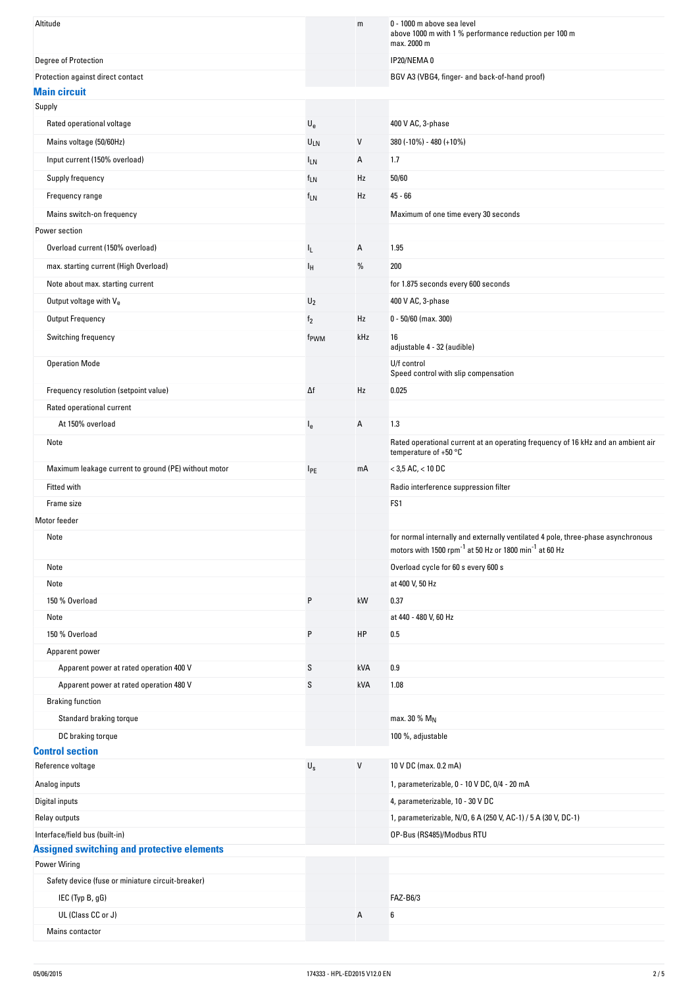| Altitude                                             |                           | m   | 0 - 1000 m above sea level<br>above 1000 m with 1 % performance reduction per 100 m<br>max. 2000 m                                                                 |
|------------------------------------------------------|---------------------------|-----|--------------------------------------------------------------------------------------------------------------------------------------------------------------------|
| Degree of Protection                                 |                           |     | IP20/NEMA0                                                                                                                                                         |
| Protection against direct contact                    |                           |     | BGV A3 (VBG4, finger- and back-of-hand proof)                                                                                                                      |
| <b>Main circuit</b>                                  |                           |     |                                                                                                                                                                    |
| Supply                                               |                           |     |                                                                                                                                                                    |
| Rated operational voltage                            | $\mathsf{U}_{\mathrm{e}}$ |     | 400 V AC, 3-phase                                                                                                                                                  |
| Mains voltage (50/60Hz)                              | ULN                       | V   | 380 (-10%) - 480 (+10%)                                                                                                                                            |
| Input current (150% overload)                        | <sup>I</sup> LN           | Α   | 1.7                                                                                                                                                                |
| Supply frequency                                     | $f_{LN}$                  | Hz  | 50/60                                                                                                                                                              |
| Frequency range                                      | $f_{LN}$                  | Hz  | $45 - 66$                                                                                                                                                          |
| Mains switch-on frequency                            |                           |     | Maximum of one time every 30 seconds                                                                                                                               |
| Power section                                        |                           |     |                                                                                                                                                                    |
| Overload current (150% overload)                     | Ιг.                       | Α   | 1.95                                                                                                                                                               |
| max. starting current (High Overload)                | Iн                        | %   | 200                                                                                                                                                                |
| Note about max. starting current                     |                           |     | for 1.875 seconds every 600 seconds                                                                                                                                |
| Output voltage with Ve                               | $U_2$                     |     | 400 V AC, 3-phase                                                                                                                                                  |
| <b>Output Frequency</b>                              | f <sub>2</sub>            | Hz  | $0 - 50/60$ (max. 300)                                                                                                                                             |
| Switching frequency                                  |                           | kHz | 16                                                                                                                                                                 |
|                                                      | f <sub>PWM</sub>          |     | adjustable 4 - 32 (audible)                                                                                                                                        |
| <b>Operation Mode</b>                                |                           |     | U/f control<br>Speed control with slip compensation                                                                                                                |
| Frequency resolution (setpoint value)                | $\Delta f$                | Hz  | 0.025                                                                                                                                                              |
| Rated operational current                            |                           |     |                                                                                                                                                                    |
| At 150% overload                                     | $I_{e}$                   | Α   | 1.3                                                                                                                                                                |
| Note                                                 |                           |     | Rated operational current at an operating frequency of 16 kHz and an ambient air<br>temperature of +50 °C                                                          |
| Maximum leakage current to ground (PE) without motor | <b>IPE</b>                | mA  | $<$ 3,5 AC, $<$ 10 DC                                                                                                                                              |
| Fitted with                                          |                           |     | Radio interference suppression filter                                                                                                                              |
| Frame size                                           |                           |     | FS1                                                                                                                                                                |
| Motor feeder                                         |                           |     |                                                                                                                                                                    |
| Note                                                 |                           |     | for normal internally and externally ventilated 4 pole, three-phase asynchronous<br>motors with 1500 rpm <sup>-1</sup> at 50 Hz or 1800 min <sup>-1</sup> at 60 Hz |
| Note                                                 |                           |     | Overload cycle for 60 s every 600 s                                                                                                                                |
| Note                                                 |                           |     | at 400 V, 50 Hz                                                                                                                                                    |
| 150 % Overload                                       | P                         | kW  | 0.37                                                                                                                                                               |
| Note                                                 |                           |     | at 440 - 480 V, 60 Hz                                                                                                                                              |
| 150 % Overload                                       | P                         | HP  | 0.5                                                                                                                                                                |
| Apparent power                                       |                           |     |                                                                                                                                                                    |
| Apparent power at rated operation 400 V              | S                         | kVA | 0.9                                                                                                                                                                |
| Apparent power at rated operation 480 V              | S                         | kVA | 1.08                                                                                                                                                               |
| <b>Braking function</b>                              |                           |     |                                                                                                                                                                    |
| Standard braking torque                              |                           |     | max. 30 % $M_N$                                                                                                                                                    |
| DC braking torque                                    |                           |     | 100 %, adjustable                                                                                                                                                  |
| <b>Control section</b>                               |                           |     |                                                                                                                                                                    |
| Reference voltage                                    | $\mathsf{U}_\mathsf{S}$   | V   | 10 V DC (max. 0.2 mA)                                                                                                                                              |
| Analog inputs                                        |                           |     | 1, parameterizable, 0 - 10 V DC, 0/4 - 20 mA                                                                                                                       |
| Digital inputs                                       |                           |     | 4, parameterizable, 10 - 30 V DC                                                                                                                                   |
| Relay outputs                                        |                           |     | 1, parameterizable, N/O, 6 A (250 V, AC-1) / 5 A (30 V, DC-1)                                                                                                      |
| Interface/field bus (built-in)                       |                           |     | OP-Bus (RS485)/Modbus RTU                                                                                                                                          |
| <b>Assigned switching and protective elements</b>    |                           |     |                                                                                                                                                                    |
| Power Wiring                                         |                           |     |                                                                                                                                                                    |
| Safety device (fuse or miniature circuit-breaker)    |                           |     |                                                                                                                                                                    |
| IEC (Typ B, gG)                                      |                           |     | <b>FAZ-B6/3</b>                                                                                                                                                    |
| UL (Class CC or J)                                   |                           | Α   | 6                                                                                                                                                                  |
| Mains contactor                                      |                           |     |                                                                                                                                                                    |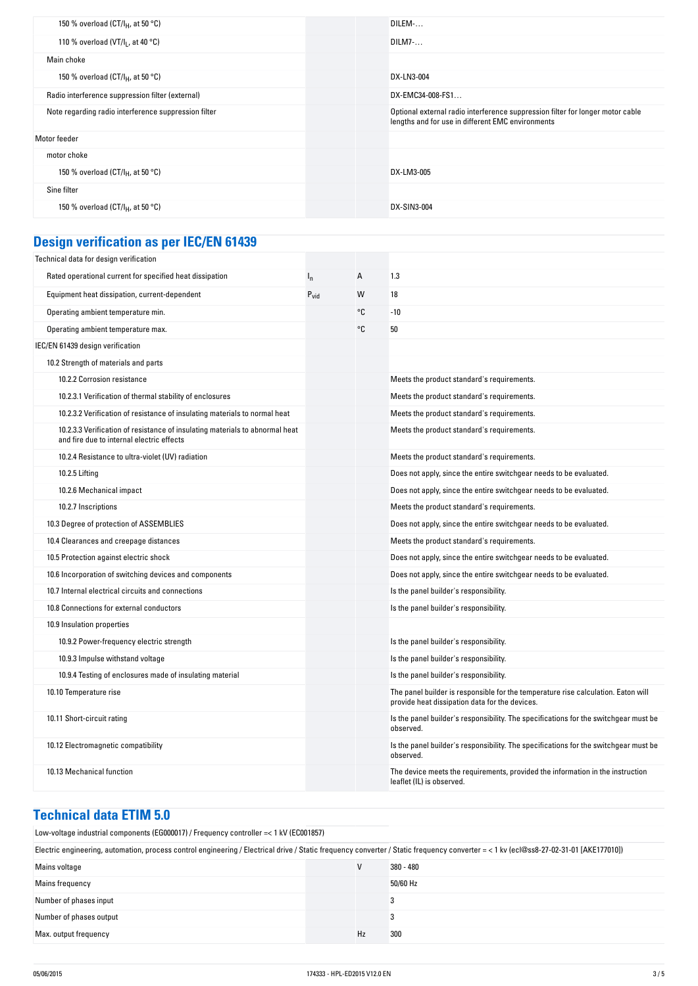| 150 % overload (CT/I <sub>H</sub> , at 50 °C)        | DILEM-                                                                                                                              |
|------------------------------------------------------|-------------------------------------------------------------------------------------------------------------------------------------|
| 110 % overload (VT/I <sub>I</sub> , at 40 °C)        | DILM7-                                                                                                                              |
| Main choke                                           |                                                                                                                                     |
| 150 % overload (CT/ $I_H$ , at 50 °C)                | DX-LN3-004                                                                                                                          |
| Radio interference suppression filter (external)     | DX-EMC34-008-FS1                                                                                                                    |
| Note regarding radio interference suppression filter | Optional external radio interference suppression filter for longer motor cable<br>lengths and for use in different EMC environments |
| Motor feeder                                         |                                                                                                                                     |
| motor choke                                          |                                                                                                                                     |
| 150 % overload (CT/I <sub>H</sub> , at 50 °C)        | DX-LM3-005                                                                                                                          |
| Sine filter                                          |                                                                                                                                     |
| 150 % overload (CT/I <sub>H</sub> , at 50 °C)        | DX-SIN3-004                                                                                                                         |

## **Design-verification-as-per-IEC/EN-61439**

| Technical data for design verification                                                                                    |                  |    |                                                                                                                                     |
|---------------------------------------------------------------------------------------------------------------------------|------------------|----|-------------------------------------------------------------------------------------------------------------------------------------|
| Rated operational current for specified heat dissipation                                                                  | $I_{n}$          | A  | 1.3                                                                                                                                 |
| Equipment heat dissipation, current-dependent                                                                             | $P_{\text{vid}}$ | W  | 18                                                                                                                                  |
| Operating ambient temperature min.                                                                                        |                  | °C | $-10$                                                                                                                               |
| Operating ambient temperature max.                                                                                        |                  | °C | 50                                                                                                                                  |
| IEC/EN 61439 design verification                                                                                          |                  |    |                                                                                                                                     |
| 10.2 Strength of materials and parts                                                                                      |                  |    |                                                                                                                                     |
| 10.2.2 Corrosion resistance                                                                                               |                  |    | Meets the product standard's requirements.                                                                                          |
| 10.2.3.1 Verification of thermal stability of enclosures                                                                  |                  |    | Meets the product standard's requirements.                                                                                          |
| 10.2.3.2 Verification of resistance of insulating materials to normal heat                                                |                  |    | Meets the product standard's requirements.                                                                                          |
| 10.2.3.3 Verification of resistance of insulating materials to abnormal heat<br>and fire due to internal electric effects |                  |    | Meets the product standard's requirements.                                                                                          |
| 10.2.4 Resistance to ultra-violet (UV) radiation                                                                          |                  |    | Meets the product standard's requirements.                                                                                          |
| 10.2.5 Lifting                                                                                                            |                  |    | Does not apply, since the entire switchgear needs to be evaluated.                                                                  |
| 10.2.6 Mechanical impact                                                                                                  |                  |    | Does not apply, since the entire switchgear needs to be evaluated.                                                                  |
| 10.2.7 Inscriptions                                                                                                       |                  |    | Meets the product standard's requirements.                                                                                          |
| 10.3 Degree of protection of ASSEMBLIES                                                                                   |                  |    | Does not apply, since the entire switchgear needs to be evaluated.                                                                  |
| 10.4 Clearances and creepage distances                                                                                    |                  |    | Meets the product standard's requirements.                                                                                          |
| 10.5 Protection against electric shock                                                                                    |                  |    | Does not apply, since the entire switchgear needs to be evaluated.                                                                  |
| 10.6 Incorporation of switching devices and components                                                                    |                  |    | Does not apply, since the entire switchgear needs to be evaluated.                                                                  |
| 10.7 Internal electrical circuits and connections                                                                         |                  |    | Is the panel builder's responsibility.                                                                                              |
| 10.8 Connections for external conductors                                                                                  |                  |    | Is the panel builder's responsibility.                                                                                              |
| 10.9 Insulation properties                                                                                                |                  |    |                                                                                                                                     |
| 10.9.2 Power-frequency electric strength                                                                                  |                  |    | Is the panel builder's responsibility.                                                                                              |
| 10.9.3 Impulse withstand voltage                                                                                          |                  |    | Is the panel builder's responsibility.                                                                                              |
| 10.9.4 Testing of enclosures made of insulating material                                                                  |                  |    | Is the panel builder's responsibility.                                                                                              |
| 10.10 Temperature rise                                                                                                    |                  |    | The panel builder is responsible for the temperature rise calculation. Eaton will<br>provide heat dissipation data for the devices. |
| 10.11 Short-circuit rating                                                                                                |                  |    | Is the panel builder's responsibility. The specifications for the switchgear must be<br>observed.                                   |
| 10.12 Electromagnetic compatibility                                                                                       |                  |    | Is the panel builder's responsibility. The specifications for the switchgear must be<br>observed.                                   |
| 10.13 Mechanical function                                                                                                 |                  |    | The device meets the requirements, provided the information in the instruction<br>leaflet (IL) is observed.                         |
|                                                                                                                           |                  |    |                                                                                                                                     |

## **Technical-data-ETIM-5.0**

Low-voltage industrial components (EG000017) / Frequency controller =< 1 kV (EC001857)

| Electric engineering, automation, process control engineering / Electrical drive / Static frequency converter / Static frequency converter = < 1 kv (ecl@ss8-27-02-31-01 [AKE177010]) |    |           |  |
|---------------------------------------------------------------------------------------------------------------------------------------------------------------------------------------|----|-----------|--|
| Mains voltage                                                                                                                                                                         |    | 380 - 480 |  |
| Mains frequency                                                                                                                                                                       |    | 50/60 Hz  |  |
| Number of phases input                                                                                                                                                                |    |           |  |
| Number of phases output                                                                                                                                                               |    |           |  |
| Max. output frequency                                                                                                                                                                 | Hz | 300       |  |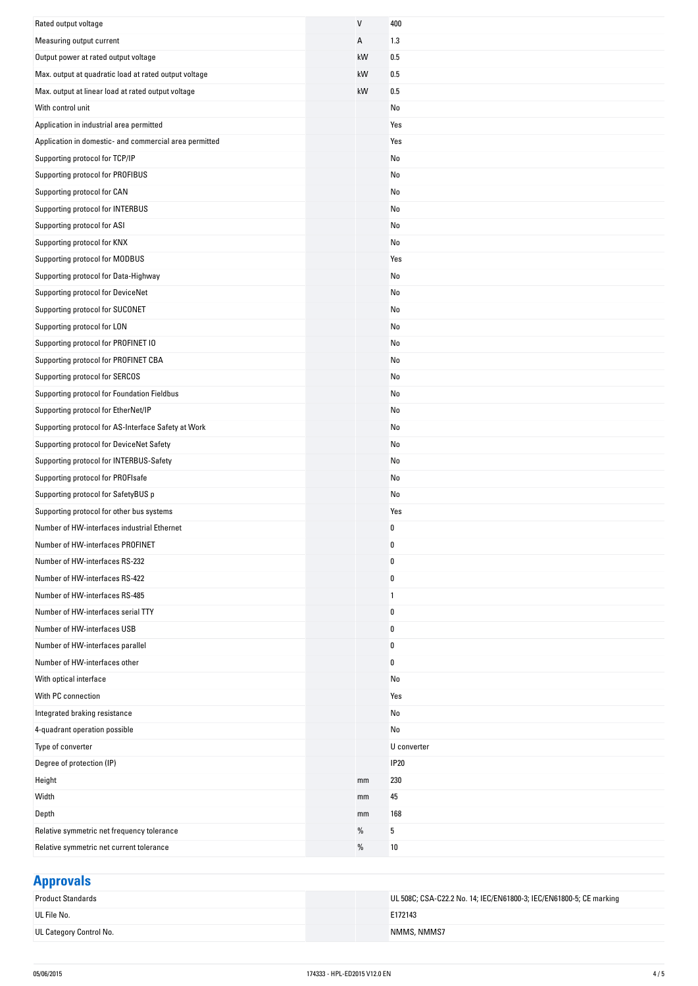| Rated output voltage                                   | $\mathsf{V}$ | 400          |
|--------------------------------------------------------|--------------|--------------|
| Measuring output current                               | А            | 1.3          |
| Output power at rated output voltage                   | kW           | 0.5          |
| Max. output at quadratic load at rated output voltage  | kW           | 0.5          |
| Max. output at linear load at rated output voltage     | kW           | 0.5          |
| With control unit                                      |              | No           |
| Application in industrial area permitted               |              | Yes          |
| Application in domestic- and commercial area permitted |              | Yes          |
| Supporting protocol for TCP/IP                         |              | No           |
| Supporting protocol for PROFIBUS                       |              | No           |
| Supporting protocol for CAN                            |              | No           |
| Supporting protocol for INTERBUS                       |              | No           |
| Supporting protocol for ASI                            |              | No           |
| Supporting protocol for KNX                            |              | No           |
| Supporting protocol for MODBUS                         |              | Yes          |
| Supporting protocol for Data-Highway                   |              | No           |
| Supporting protocol for DeviceNet                      |              | No           |
| Supporting protocol for SUCONET                        |              | No           |
| Supporting protocol for LON                            |              | No           |
| Supporting protocol for PROFINET IO                    |              | No           |
| Supporting protocol for PROFINET CBA                   |              | No           |
| Supporting protocol for SERCOS                         |              | No           |
| Supporting protocol for Foundation Fieldbus            |              | No           |
| Supporting protocol for EtherNet/IP                    |              | No           |
| Supporting protocol for AS-Interface Safety at Work    |              | No           |
| Supporting protocol for DeviceNet Safety               |              | No           |
| Supporting protocol for INTERBUS-Safety                |              | No           |
| Supporting protocol for PROFIsafe                      |              | No           |
| Supporting protocol for SafetyBUS p                    |              | No           |
| Supporting protocol for other bus systems              |              | Yes          |
| Number of HW-interfaces industrial Ethernet            |              | 0            |
| Number of HW-interfaces PROFINET                       |              | 0            |
| Number of HW-interfaces RS-232                         |              | 0            |
| Number of HW-interfaces RS-422                         |              | 0            |
| Number of HW-interfaces RS-485                         |              | $\mathbf{1}$ |
| Number of HW-interfaces serial TTY                     |              | $\bf{0}$     |
| Number of HW-interfaces USB                            |              | $\pmb{0}$    |
| Number of HW-interfaces parallel                       |              | $\pmb{0}$    |
| Number of HW-interfaces other                          |              | 0            |
| With optical interface                                 |              | No           |
| With PC connection                                     |              | Yes          |
| Integrated braking resistance                          |              | No           |
| 4-quadrant operation possible                          |              | No           |
| Type of converter                                      |              | U converter  |
| Degree of protection (IP)                              |              | <b>IP20</b>  |
| Height                                                 | mm           | 230          |
| Width                                                  | mm           | 45           |
| Depth                                                  | mm           | 168          |
| Relative symmetric net frequency tolerance             | %            | 5            |
| Relative symmetric net current tolerance               | %            | $10$         |
|                                                        |              |              |

#### **Approvals**

| <b>Approvais</b>         |                                                                     |
|--------------------------|---------------------------------------------------------------------|
| <b>Product Standards</b> | UL 508C; CSA-C22.2 No. 14; IEC/EN61800-3; IEC/EN61800-5; CE marking |
| UL File No.              | E172143                                                             |
| UL Category Control No.  | NMMS, NMMS7                                                         |